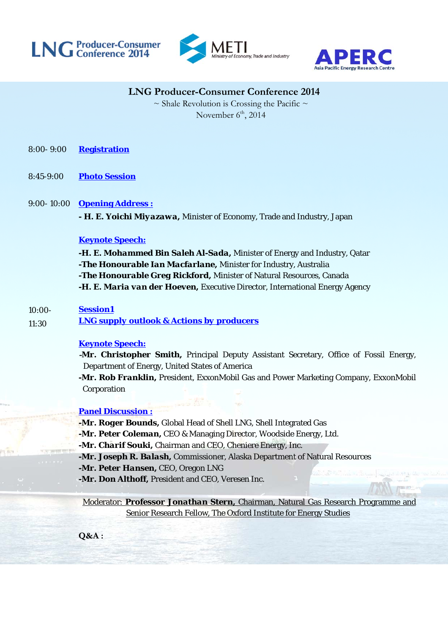





# **LNG Producer-Consumer Conference 2014**

 $\sim$  Shale Revolution is Crossing the Pacific  $\sim$ November  $6<sup>th</sup>$ , 2014

- 8:00- 9:00 **Registration**
- 8:45-9:00 **Photo Session**

### 9:00- 10:00 **Opening Address :**

**-** *H. E. Yoichi Miyazawa,* Minister of Economy, Trade and Industry, Japan

### **Keynote Speech:**

*-H. E. Mohammed Bin Saleh Al-Sada,* Minister of Energy and Industry, Qatar *-The Honourable Ian Macfarlane,* Minister for Industry, Australia *-The Honourable Greg Rickford,* Minister of Natural Resources, Canada *-H. E. Maria van der Hoeven,* Executive Director, International Energy Agency

#### 10:00- **Session1**

11:30 *LNG supply outlook & Actions by producers*

### **Keynote Speech:**

**-***Mr. Christopher Smith,* Principal Deputy Assistant Secretary, Office of Fossil Energy, Department of Energy, United States of America

*-Mr. Rob Franklin,* President, ExxonMobil Gas and Power Marketing Company, ExxonMobil Corporation

### **Panel Discussion :**

*-Mr. Roger Bounds,* Global Head of Shell LNG, Shell Integrated Gas

*-Mr. Peter Coleman,* CEO & Managing Director, Woodside Energy, Ltd.

*-Mr. Charif Souki,* Chairman and CEO, Cheniere Energy, Inc.

*-Mr. Joseph R. Balash,* Commissioner, Alaska Department of Natural Resources

*-Mr. Peter Hansen,* CEO, Oregon LNG

**-***Mr. Don Althoff,* President and CEO, Veresen Inc.

Moderator: *Professor Jonathan Stern,* Chairman, Natural Gas Research Programme and Senior Research Fellow, The Oxford Institute for Energy Studies

**Q&A :**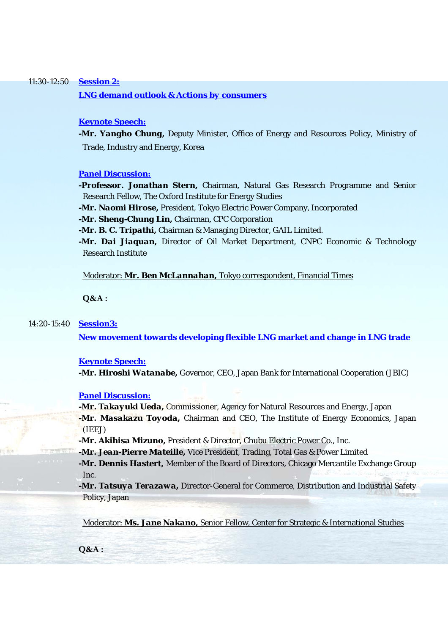### 11:30-12:50 **Session 2:**

*LNG demand outlook & Actions by consumers*

### **Keynote Speech:**

*-Mr. Yangho Chung, Deputy Minister, Office of Energy and Resources Policy, Ministry of* Trade, Industry and Energy, Korea

#### **Panel Discussion:**

*-Professor. Jonathan Stern,* Chairman, Natural Gas Research Programme and Senior Research Fellow, The Oxford Institute for Energy Studies

*-Mr. Naomi Hirose,* President, Tokyo Electric Power Company, Incorporated

*-Mr. Sheng-Chung Lin,* Chairman, CPC Corporation

*-Mr. B. C. Tripathi,* Chairman & Managing Director, GAIL Limited.

*-Mr. Dai Jiaquan,* Director of Oil Market Department, CNPC Economic & Technology Research Institute

Moderator: *Mr. Ben McLannahan,* Tokyo correspondent, Financial Times

**Q&A :**

#### 14:20-15:40 **Session3:**

**New movement towards developing flexible LNG market and change in LNG trade** 

#### **Keynote Speech:**

**-***Mr. Hiroshi Watanabe,* Governor, CEO, Japan Bank for International Cooperation (JBIC)

### **Panel Discussion:**

*-Mr. Takayuki Ueda,* Commissioner, Agency for Natural Resources and Energy, Japan *-Mr. Masakazu Toyoda,* Chairman and CEO, The Institute of Energy Economics, Japan (IEEJ)

*-Mr. Akihisa Mizuno,* President & Director, Chubu Electric Power Co., Inc.

*-Mr. Jean-Pierre Mateille,* Vice President, Trading, Total Gas & Power Limited

*-Mr. Dennis Hastert,* Member of the Board of Directors, Chicago Mercantile Exchange Group Inc.

*-Mr. Tatsuya Terazawa,* Director-General for Commerce, Distribution and Industrial Safety Policy, Japan

Moderator: *Ms. Jane Nakano,* Senior Fellow, Center for Strategic & International Studies

**Q&A :**